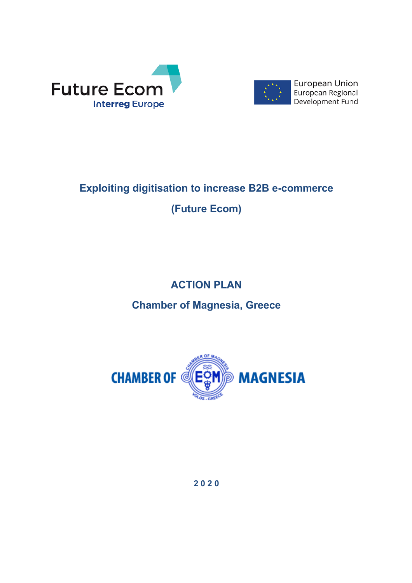



European Union European Regional Development Fund

# **Exploiting digitisation to increase B2B e-commerce (Future Ecom)**

## **ACTION PLAN**

**Chamber of Magnesia, Greece**



**2 0 2 0**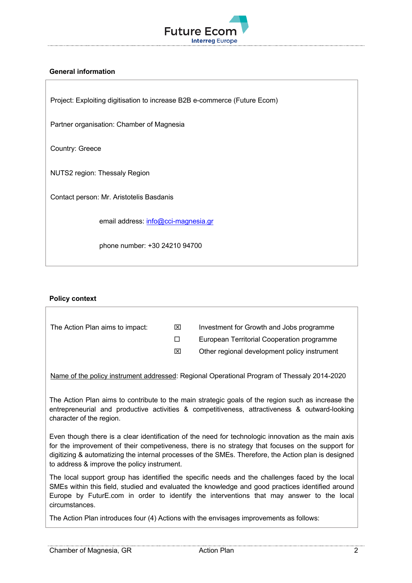

## **General information**

Project: Exploiting digitisation to increase B2B e-commerce (Future Ecom)

Partner organisation: Chamber of Magnesia

Country: Greece

NUTS2 region: Thessaly Region

Contact person: Mr. Aristotelis Basdanis

email address: info@cci-magnesia.gr

phone number: +30 24210 94700

#### **Policy context**

| The Action Plan aims to impact: | ⊠ | Investment for Growth and Jobs programme                                                    |
|---------------------------------|---|---------------------------------------------------------------------------------------------|
|                                 |   | European Territorial Cooperation programme                                                  |
|                                 | ⊠ | Other regional development policy instrument                                                |
|                                 |   |                                                                                             |
|                                 |   | Name of the policy instrument addressed: Regional Operational Program of Thessaly 2014-2020 |

The Action Plan aims to contribute to the main strategic goals of the region such as increase the entrepreneurial and productive activities & competitiveness, attractiveness & outward-looking

Even though there is a clear identification of the need for technologic innovation as the main axis for the improvement of their competiveness, there is no strategy that focuses on the support for digitizing & automatizing the internal processes of the SMEs. Therefore, the Action plan is designed to address & improve the policy instrument.

The local support group has identified the specific needs and the challenges faced by the local SMEs within this field, studied and evaluated the knowledge and good practices identified around Europe by FuturE.com in order to identify the interventions that may answer to the local circumstances.

The Action Plan introduces four (4) Actions with the envisages improvements as follows:

character of the region.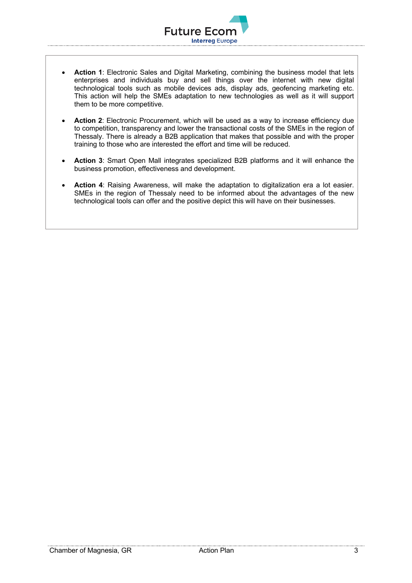• **Action 1**: Electronic Sales and Digital Marketing, combining the business model that lets enterprises and individuals buy and sell things over the internet with new digital technological tools such as mobile devices ads, display ads, geofencing marketing etc. This action will help the SMEs adaptation to new technologies as well as it will support them to be more competitive.

**Interreg Europe** 

**Future Ecor** 

- **Action 2**: Electronic Procurement, which will be used as a way to increase efficiency due to competition, transparency and lower the transactional costs of the SMEs in the region of Thessaly. There is already a B2B application that makes that possible and with the proper training to those who are interested the effort and time will be reduced.
- **Action 3**: Smart Open Mall integrates specialized B2B platforms and it will enhance the business promotion, effectiveness and development.
- **Action 4**: Raising Awareness, will make the adaptation to digitalization era a lot easier. SMEs in the region of Thessaly need to be informed about the advantages of the new technological tools can offer and the positive depict this will have on their businesses.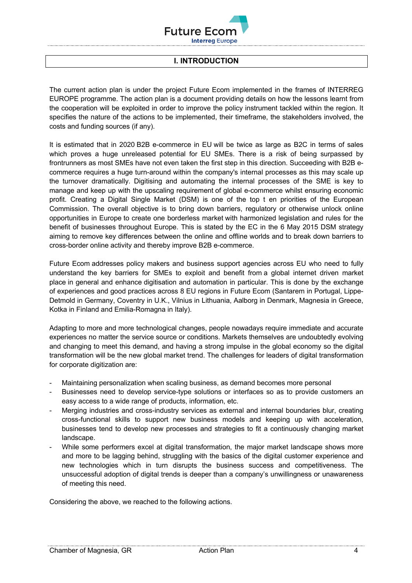

## **I. INTRODUCTION**

The current action plan is under the project Future Ecom implemented in the frames of INTERREG EUROPE programme. The action plan is a document providing details on how the lessons learnt from the cooperation will be exploited in order to improve the policy instrument tackled within the region. It specifies the nature of the actions to be implemented, their timeframe, the stakeholders involved, the costs and funding sources (if any).

It is estimated that in 2020 B2B e-commerce in EU will be twice as large as B2C in terms of sales which proves a huge unreleased potential for EU SMEs. There is a risk of being surpassed by frontrunners as most SMEs have not even taken the first step in this direction. Succeeding with B2B ecommerce requires a huge turn-around within the company's internal processes as this may scale up the turnover dramatically. Digitising and automating the internal processes of the SME is key to manage and keep up with the upscaling requirement of global e-commerce whilst ensuring economic profit. Creating a Digital Single Market (DSM) is one of the top t en priorities of the European Commission. The overall objective is to bring down barriers, regulatory or otherwise unlock online opportunities in Europe to create one borderless market with harmonized legislation and rules for the benefit of businesses throughout Europe. This is stated by the EC in the 6 May 2015 DSM strategy aiming to remove key differences between the online and offline worlds and to break down barriers to cross-border online activity and thereby improve B2B e-commerce.

Future Ecom addresses policy makers and business support agencies across EU who need to fully understand the key barriers for SMEs to exploit and benefit from a global internet driven market place in general and enhance digitisation and automation in particular. This is done by the exchange of experiences and good practices across 8 EU regions in Future Ecom (Santarem in Portugal, Lippe-Detmold in Germany, Coventry in U.K., Vilnius in Lithuania, Aalborg in Denmark, Magnesia in Greece, Kotka in Finland and Emilia-Romagna in Italy).

Adapting to more and more technological changes, people nowadays require immediate and accurate experiences no matter the service source or conditions. Markets themselves are undoubtedly evolving and changing to meet this demand, and having a strong impulse in the global economy so the digital transformation will be the new global market trend. The challenges for leaders of digital transformation for corporate digitization are:

- Maintaining personalization when scaling business, as demand becomes more personal
- Businesses need to develop service-type solutions or interfaces so as to provide customers an easy access to a wide range of products, information, etc.
- Merging industries and cross-industry services as external and internal boundaries blur, creating cross-functional skills to support new business models and keeping up with acceleration, businesses tend to develop new processes and strategies to fit a continuously changing market landscape.
- While some performers excel at digital transformation, the major market landscape shows more and more to be lagging behind, struggling with the basics of the digital customer experience and new technologies which in turn disrupts the business success and competitiveness. The unsuccessful adoption of digital trends is deeper than a company's unwillingness or unawareness of meeting this need.

Considering the above, we reached to the following actions.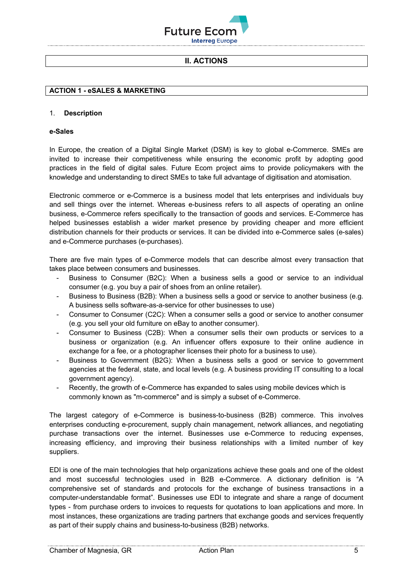

## **II. ACTIONS**

## **ACTION 1 - eSALES & MARKETING**

#### 1. **Description**

#### **e-Sales**

In Europe, the creation of a Digital Single Market (DSM) is key to global e-Commerce. SMEs are invited to increase their competitiveness while ensuring the economic profit by adopting good practices in the field of digital sales. Future Ecom project aims to provide policymakers with the knowledge and understanding to direct SMEs to take full advantage of digitisation and atomisation.

Electronic commerce or e-Commerce is a business model that lets enterprises and individuals buy and sell things over the internet. Whereas e-business refers to all aspects of operating an online business, e-Commerce refers specifically to the transaction of goods and services. E-Commerce has helped businesses establish a wider market presence by providing cheaper and more efficient distribution channels for their products or services. It can be divided into e-Commerce sales (e-sales) and e-Commerce purchases (e-purchases).

There are five main types of e-Commerce models that can describe almost every transaction that takes place between consumers and businesses.

- Business to Consumer (B2C): When a business sells a good or service to an individual consumer (e.g. you buy a pair of shoes from an online retailer).
- Business to Business (B2B): When a business sells a good or service to another business (e.g. A business sells software-as-a-service for other businesses to use)
- Consumer to Consumer (C2C): When a consumer sells a good or service to another consumer (e.g. you sell your old furniture on eBay to another consumer).
- Consumer to Business (C2B): When a consumer sells their own products or services to a business or organization (e.g. An influencer offers exposure to their online audience in exchange for a fee, or a photographer licenses their photo for a business to use).
- Business to Government (B2G): When a business sells a good or service to government agencies at the federal, state, and local levels (e.g. A business providing IT consulting to a local government agency).
- Recently, the growth of e-Commerce has expanded to sales using mobile devices which is commonly known as "m-commerce" and is simply a subset of e-Commerce.

The largest category of e-Commerce is business-to-business (B2B) commerce. This involves enterprises conducting e-procurement, supply chain management, network alliances, and negotiating purchase transactions over the internet. Businesses use e-Commerce to reducing expenses, increasing efficiency, and improving their business relationships with a limited number of key suppliers.

EDI is one of the main technologies that help organizations achieve these goals and one of the oldest and most successful technologies used in B2B e-Commerce. A dictionary definition is "A comprehensive set of standards and protocols for the exchange of business transactions in a computer-understandable format". Businesses use EDI to integrate and share a range of document types - from purchase orders to invoices to requests for quotations to loan applications and more. In most instances, these organizations are trading partners that exchange goods and services frequently as part of their supply chains and business-to-business (B2B) networks.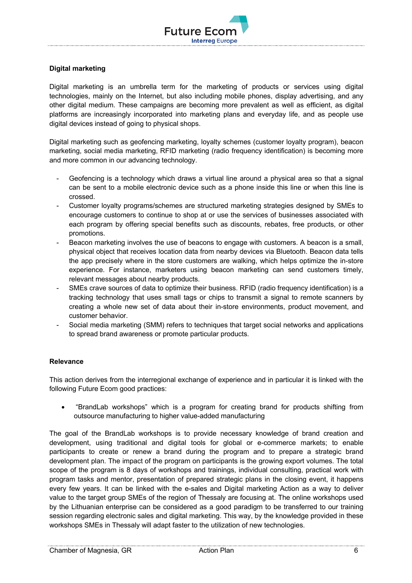

## **Digital marketing**

Digital marketing is an umbrella term for the marketing of products or services using digital technologies, mainly on the Internet, but also including mobile phones, display advertising, and any other digital medium. These campaigns are becoming more prevalent as well as efficient, as digital platforms are increasingly incorporated into marketing plans and everyday life, and as people use digital devices instead of going to physical shops.

Digital marketing such as geofencing marketing, loyalty schemes (customer loyalty program), beacon marketing, social media marketing, RFID marketing (radio frequency identification) is becoming more and more common in our advancing technology.

- Geofencing is a technology which draws a virtual line around a physical area so that a signal can be sent to a mobile electronic device such as a phone inside this line or when this line is crossed.
- Customer loyalty programs/schemes are structured marketing strategies designed by SMEs to encourage customers to continue to shop at or use the services of businesses associated with each program by offering special benefits such as discounts, rebates, free products, or other promotions.
- Beacon marketing involves the use of beacons to engage with customers. A beacon is a small, physical object that receives location data from nearby devices via Bluetooth. Beacon data tells the app precisely where in the store customers are walking, which helps optimize the in-store experience. For instance, marketers using beacon marketing can send customers timely, relevant messages about nearby products.
- SMEs crave sources of data to optimize their business. RFID (radio frequency identification) is a tracking technology that uses small tags or chips to transmit a signal to remote scanners by creating a whole new set of data about their in-store environments, product movement, and customer behavior.
- Social media marketing (SMM) refers to techniques that target social networks and applications to spread brand awareness or promote particular products.

## **Relevance**

This action derives from the interregional exchange of experience and in particular it is linked with the following Future Ecom good practices:

• "BrandLab workshops" which is a program for creating brand for products shifting from outsource manufacturing to higher value-added manufacturing

The goal of the BrandLab workshops is to provide necessary knowledge of brand creation and development, using traditional and digital tools for global or e-commerce markets; to enable participants to create or renew a brand during the program and to prepare a strategic brand development plan. The impact of the program on participants is the growing export volumes. The total scope of the program is 8 days of workshops and trainings, individual consulting, practical work with program tasks and mentor, presentation of prepared strategic plans in the closing event, it happens every few years. It can be linked with the e-sales and Digital marketing Action as a way to deliver value to the target group SMEs of the region of Thessaly are focusing at. The online workshops used by the Lithuanian enterprise can be considered as a good paradigm to be transferred to our training session regarding electronic sales and digital marketing. This way, by the knowledge provided in these workshops SMEs in Thessaly will adapt faster to the utilization of new technologies.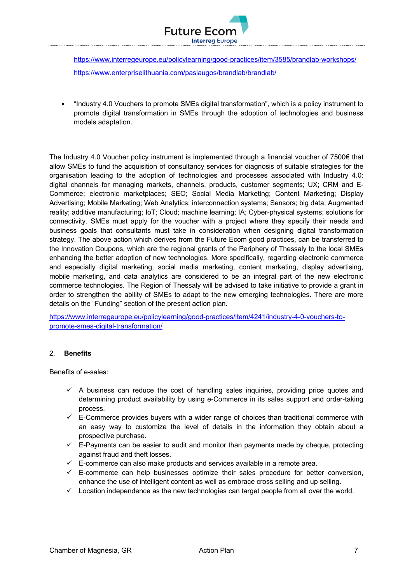

https://www.interregeurope.eu/policylearning/good-practices/item/3585/brandlab-workshops/ https://www.enterpriselithuania.com/paslaugos/brandlab/brandlab/

• "Industry 4.0 Vouchers to promote SMEs digital transformation", which is a policy instrument to promote digital transformation in SMEs through the adoption of technologies and business models adaptation.

The Industry 4.0 Voucher policy instrument is implemented through a financial voucher of 7500€ that allow SMEs to fund the acquisition of consultancy services for diagnosis of suitable strategies for the organisation leading to the adoption of technologies and processes associated with Industry 4.0: digital channels for managing markets, channels, products, customer segments; UX; CRM and E-Commerce; electronic marketplaces; SEO; Social Media Marketing; Content Marketing; Display Advertising; Mobile Marketing; Web Analytics; interconnection systems; Sensors; big data; Augmented reality; additive manufacturing; IoT; Cloud; machine learning; IA; Cyber-physical systems; solutions for connectivity. SMEs must apply for the voucher with a project where they specify their needs and business goals that consultants must take in consideration when designing digital transformation strategy. The above action which derives from the Future Ecom good practices, can be transferred to the Innovation Coupons, which are the regional grants of the Periphery of Thessaly to the local SMEs enhancing the better adoption of new technologies. More specifically, regarding electronic commerce and especially digital marketing, social media marketing, content marketing, display advertising, mobile marketing, and data analytics are considered to be an integral part of the new electronic commerce technologies. The Region of Thessaly will be advised to take initiative to provide a grant in order to strengthen the ability of SMEs to adapt to the new emerging technologies. There are more details on the "Funding" section of the present action plan.

https://www.interregeurope.eu/policylearning/good-practices/item/4241/industry-4-0-vouchers-topromote-smes-digital-transformation/

## 2. **Benefits**

Benefits of e-sales:

- $\checkmark$  A business can reduce the cost of handling sales inquiries, providing price quotes and determining product availability by using e-Commerce in its sales support and order-taking process.
- $\checkmark$  E-Commerce provides buyers with a wider range of choices than traditional commerce with an easy way to customize the level of details in the information they obtain about a prospective purchase.
- $\checkmark$  E-Payments can be easier to audit and monitor than payments made by cheque, protecting against fraud and theft losses.
- $\checkmark$  E-commerce can also make products and services available in a remote area.
- $\checkmark$  E-commerce can help businesses optimize their sales procedure for better conversion, enhance the use of intelligent content as well as embrace cross selling and up selling.
- $\checkmark$  Location independence as the new technologies can target people from all over the world.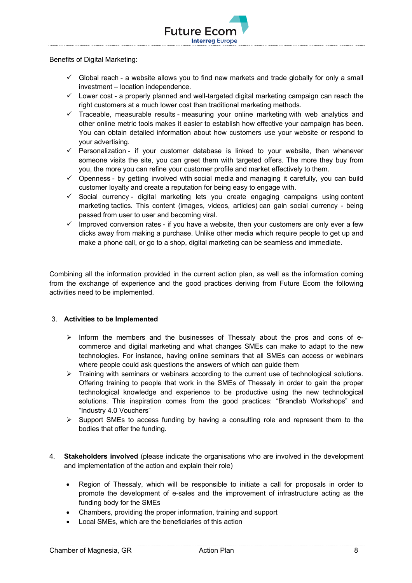

 $\checkmark$  Global reach - a website allows you to find new markets and trade globally for only a small investment – location independence.

**Interreg Europe** 

**Future Ecor** 

- $\checkmark$  Lower cost a properly planned and well-targeted digital marketing campaign can reach the right customers at a much lower cost than traditional marketing methods.
- $\checkmark$  Traceable, measurable results measuring your online marketing with web analytics and other online metric tools makes it easier to establish how effective your campaign has been. You can obtain detailed information about how customers use your website or respond to your advertising.
- $\checkmark$  Personalization if your customer database is linked to your website, then whenever someone visits the site, you can greet them with targeted offers. The more they buy from you, the more you can refine your customer profile and market effectively to them.
- $\checkmark$  Openness by getting involved with social media and managing it carefully, you can build customer loyalty and create a reputation for being easy to engage with.
- $\checkmark$  Social currency digital marketing lets you create engaging campaigns using content marketing tactics. This content (images, videos, articles) can gain social currency - being passed from user to user and becoming viral.
- $\checkmark$  Improved conversion rates if you have a website, then your customers are only ever a few clicks away from making a purchase. Unlike other media which require people to get up and make a phone call, or go to a shop, digital marketing can be seamless and immediate.

Combining all the information provided in the current action plan, as well as the information coming from the exchange of experience and the good practices deriving from Future Ecom the following activities need to be implemented.

## 3. **Activities to be Implemented**

- $\triangleright$  Inform the members and the businesses of Thessaly about the pros and cons of ecommerce and digital marketing and what changes SMEs can make to adapt to the new technologies. For instance, having online seminars that all SMEs can access or webinars where people could ask questions the answers of which can guide them
- $\triangleright$  Training with seminars or webinars according to the current use of technological solutions. Offering training to people that work in the SMEs of Thessaly in order to gain the proper technological knowledge and experience to be productive using the new technological solutions. This inspiration comes from the good practices: "Brandlab Workshops" and "Industry 4.0 Vouchers"
- $\triangleright$  Support SMEs to access funding by having a consulting role and represent them to the bodies that offer the funding.
- 4. **Stakeholders involved** (please indicate the organisations who are involved in the development and implementation of the action and explain their role)
	- Region of Thessaly, which will be responsible to initiate a call for proposals in order to promote the development of e-sales and the improvement of infrastructure acting as the funding body for the SMEs
	- Chambers, providing the proper information, training and support
	- Local SMEs, which are the beneficiaries of this action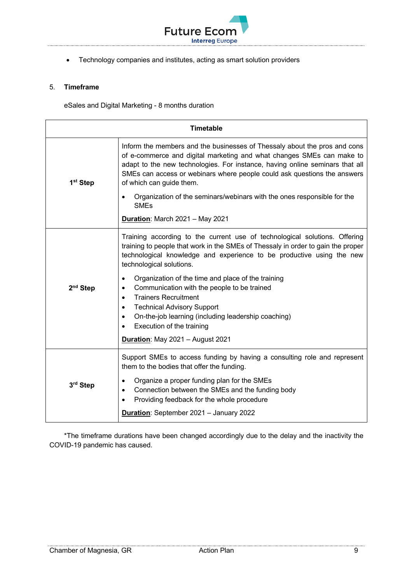

• Technology companies and institutes, acting as smart solution providers

## 5. **Timeframe**

eSales and Digital Marketing - 8 months duration

| <b>Timetable</b>     |                                                                                                                                                                                                                                                                                                                                            |
|----------------------|--------------------------------------------------------------------------------------------------------------------------------------------------------------------------------------------------------------------------------------------------------------------------------------------------------------------------------------------|
| 1 <sup>st</sup> Step | Inform the members and the businesses of Thessaly about the pros and cons<br>of e-commerce and digital marketing and what changes SMEs can make to<br>adapt to the new technologies. For instance, having online seminars that all<br>SMEs can access or webinars where people could ask questions the answers<br>of which can guide them. |
|                      | Organization of the seminars/webinars with the ones responsible for the<br><b>SMEs</b>                                                                                                                                                                                                                                                     |
|                      | <b>Duration: March 2021 - May 2021</b>                                                                                                                                                                                                                                                                                                     |
|                      | Training according to the current use of technological solutions. Offering<br>training to people that work in the SMEs of Thessaly in order to gain the proper<br>technological knowledge and experience to be productive using the new<br>technological solutions.                                                                        |
| 2 <sup>nd</sup> Step | Organization of the time and place of the training<br>$\bullet$<br>Communication with the people to be trained<br>$\bullet$<br><b>Trainers Recruitment</b><br>$\bullet$<br><b>Technical Advisory Support</b><br>$\bullet$<br>On-the-job learning (including leadership coaching)<br>$\bullet$<br>Execution of the training<br>$\bullet$    |
|                      | Duration: May 2021 - August 2021                                                                                                                                                                                                                                                                                                           |
|                      | Support SMEs to access funding by having a consulting role and represent<br>them to the bodies that offer the funding.                                                                                                                                                                                                                     |
| 3rd Step             | Organize a proper funding plan for the SMEs<br>$\bullet$<br>Connection between the SMEs and the funding body<br>$\bullet$<br>Providing feedback for the whole procedure<br>$\bullet$                                                                                                                                                       |
|                      | Duration: September 2021 - January 2022                                                                                                                                                                                                                                                                                                    |

\*The timeframe durations have been changed accordingly due to the delay and the inactivity the COVID-19 pandemic has caused.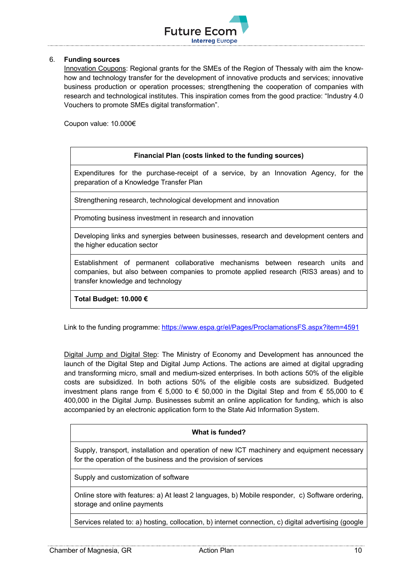

## 6. **Funding sources**

Innovation Coupons: Regional grants for the SMEs of the Region of Thessaly with aim the knowhow and technology transfer for the development of innovative products and services; innovative business production or operation processes; strengthening the cooperation of companies with research and technological institutes. This inspiration comes from the good practice: "Industry 4.0 Vouchers to promote SMEs digital transformation".

Coupon value: 10.000€

#### **Financial Plan (costs linked to the funding sources)**

Expenditures for the purchase-receipt of a service, by an Innovation Agency, for the preparation of a Knowledge Transfer Plan

Strengthening research, technological development and innovation

Promoting business investment in research and innovation

Developing links and synergies between businesses, research and development centers and the higher education sector

Establishment of permanent collaborative mechanisms between research units and companies, but also between companies to promote applied research (RIS3 areas) and to transfer knowledge and technology

**Total Budget: 10.000 €**

Link to the funding programme: https://www.espa.gr/el/Pages/ProclamationsFS.aspx?item=4591

Digital Jump and Digital Step: The Ministry of Economy and Development has announced the launch of the Digital Step and Digital Jump Actions. The actions are aimed at digital upgrading and transforming micro, small and medium-sized enterprises. In both actions 50% of the eligible costs are subsidized. In both actions 50% of the eligible costs are subsidized. Budgeted investment plans range from  $\epsilon$  5,000 to  $\epsilon$  50,000 in the Digital Step and from  $\epsilon$  55,000 to  $\epsilon$ 400,000 in the Digital Jump. Businesses submit an online application for funding, which is also accompanied by an electronic application form to the State Aid Information System.

#### **What is funded?**

Supply, transport, installation and operation of new ICT machinery and equipment necessary for the operation of the business and the provision of services

Supply and customization of software

Online store with features: a) At least 2 languages, b) Mobile responder, c) Software ordering, storage and online payments

Services related to: a) hosting, collocation, b) internet connection, c) digital advertising (google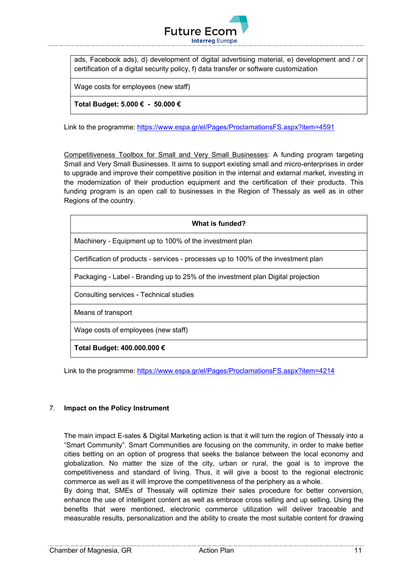

ads, Facebook ads), d) development of digital advertising material, e) development and / or certification of a digital security policy, f) data transfer or software customization

Wage costs for employees (new staff)

**Total Budget: 5.000 € - 50.000 €**

Link to the programme: https://www.espa.gr/el/Pages/ProclamationsFS.aspx?item=4591

Competitiveness Toolbox for Small and Very Small Businesses: A funding program targeting Small and Very Small Businesses. It aims to support existing small and micro-enterprises in order to upgrade and improve their competitive position in the internal and external market, investing in the modernization of their production equipment and the certification of their products. This funding program is an open call to businesses in the Region of Thessaly as well as in other Regions of the country.

| What is funded?                                                                    |
|------------------------------------------------------------------------------------|
| Machinery - Equipment up to 100% of the investment plan                            |
| Certification of products - services - processes up to 100% of the investment plan |
| Packaging - Label - Branding up to 25% of the investment plan Digital projection   |
| Consulting services - Technical studies                                            |
| Means of transport                                                                 |
| Wage costs of employees (new staff)                                                |
| Total Budget: 400.000.000 €                                                        |

Link to the programme: https://www.espa.gr/el/Pages/ProclamationsFS.aspx?item=4214

#### 7. **Impact on the Policy Instrument**

The main impact E-sales & Digital Marketing action is that it will turn the region of Thessaly into a "Smart Community". Smart Communities are focusing on the community, in order to make better cities betting on an option of progress that seeks the balance between the local economy and globalization. No matter the size of the city, urban or rural, the goal is to improve the competitiveness and standard of living. Thus, it will give a boost to the regional electronic commerce as well as it will improve the competitiveness of the periphery as a whole.

By doing that, SMEs of Thessaly will optimize their sales procedure for better conversion, enhance the use of intelligent content as well as embrace cross selling and up selling. Using the benefits that were mentioned, electronic commerce utilization will deliver traceable and measurable results, personalization and the ability to create the most suitable content for drawing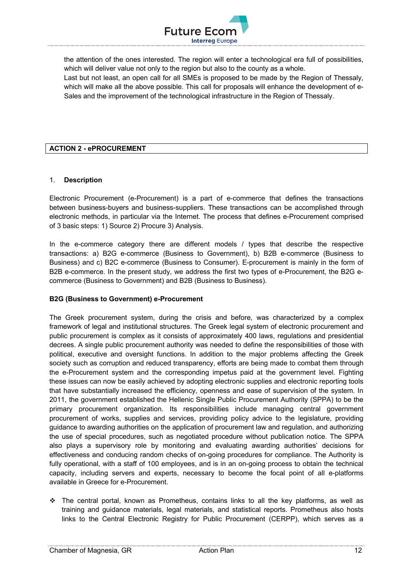

the attention of the ones interested. The region will enter a technological era full of possibilities, which will deliver value not only to the region but also to the county as a whole. Last but not least, an open call for all SMEs is proposed to be made by the Region of Thessaly, which will make all the above possible. This call for proposals will enhance the development of e-Sales and the improvement of the technological infrastructure in the Region of Thessaly.

## **ACTION 2 - ePROCUREMENT**

## 1. **Description**

Electronic Procurement (e-Procurement) is a part of e-commerce that defines the transactions between business-buyers and business-suppliers. These transactions can be accomplished through electronic methods, in particular via the Internet. The process that defines e-Procurement comprised of 3 basic steps: 1) Source 2) Procure 3) Analysis.

In the e-commerce category there are different models / types that describe the respective transactions: a) B2G e-commerce (Business to Government), b) B2B e-commerce (Business to Business) and c) B2C e-commerce (Business to Consumer). E-procurement is mainly in the form of B2B e-commerce. In the present study, we address the first two types of e-Procurement, the B2G ecommerce (Business to Government) and B2B (Business to Business).

## **B2G (Business to Government) e-Procurement**

The Greek procurement system, during the crisis and before, was characterized by a complex framework of legal and institutional structures. The Greek legal system of electronic procurement and public procurement is complex as it consists of approximately 400 laws, regulations and presidential decrees. A single public procurement authority was needed to define the responsibilities of those with political, executive and oversight functions. In addition to the major problems affecting the Greek society such as corruption and reduced transparency, efforts are being made to combat them through the e-Procurement system and the corresponding impetus paid at the government level. Fighting these issues can now be easily achieved by adopting electronic supplies and electronic reporting tools that have substantially increased the efficiency, openness and ease of supervision of the system. In 2011, the government established the Hellenic Single Public Procurement Authority (SPPA) to be the primary procurement organization. Its responsibilities include managing central government procurement of works, supplies and services, providing policy advice to the legislature, providing guidance to awarding authorities on the application of procurement law and regulation, and authorizing the use of special procedures, such as negotiated procedure without publication notice. The SPPA also plays a supervisory role by monitoring and evaluating awarding authorities' decisions for effectiveness and conducing random checks of on-going procedures for compliance. The Authority is fully operational, with a staff of 100 employees, and is in an on-going process to obtain the technical capacity, including servers and experts, necessary to become the focal point of all e-platforms available in Greece for e-Procurement.

 $\div$  The central portal, known as Prometheus, contains links to all the key platforms, as well as training and guidance materials, legal materials, and statistical reports. Prometheus also hosts links to the Central Electronic Registry for Public Procurement (CERPP), which serves as a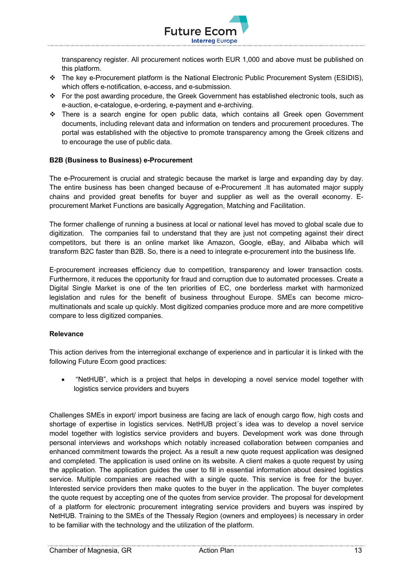

transparency register. All procurement notices worth EUR 1,000 and above must be published on this platform.

- \* The key e-Procurement platform is the National Electronic Public Procurement System (ESIDIS), which offers e-notification, e-access, and e-submission.
- v For the post awarding procedure, the Greek Government has established electronic tools, such as e-auction, e-catalogue, e-ordering, e-payment and e-archiving.
- $\cdot \cdot$  There is a search engine for open public data, which contains all Greek open Government documents, including relevant data and information on tenders and procurement procedures. The portal was established with the objective to promote transparency among the Greek citizens and to encourage the use of public data.

## **B2B (Business to Business) e-Procurement**

The e-Procurement is crucial and strategic because the market is large and expanding day by day. The entire business has been changed because of e-Procurement .It has automated major supply chains and provided great benefits for buyer and supplier as well as the overall economy. Eprocurement Market Functions are basically Aggregation, Matching and Facilitation.

The former challenge of running a business at local or national level has moved to global scale due to digitization. The companies fail to understand that they are just not competing against their direct competitors, but there is an online market like Amazon, Google, eBay, and Alibaba which will transform B2C faster than B2B. So, there is a need to integrate e-procurement into the business life.

E-procurement increases efficiency due to competition, transparency and lower transaction costs. Furthermore, it reduces the opportunity for fraud and corruption due to automated processes. Create a Digital Single Market is one of the ten priorities of EC, one borderless market with harmonized legislation and rules for the benefit of business throughout Europe. SMEs can become micromultinationals and scale up quickly. Most digitized companies produce more and are more competitive compare to less digitized companies.

#### **Relevance**

This action derives from the interregional exchange of experience and in particular it is linked with the following Future Ecom good practices:

• "NetHUB", which is a project that helps in developing a novel service model together with logistics service providers and buyers

Challenges SMEs in export/ import business are facing are lack of enough cargo flow, high costs and shortage of expertise in logistics services. NetHUB project´s idea was to develop a novel service model together with logistics service providers and buyers. Development work was done through personal interviews and workshops which notably increased collaboration between companies and enhanced commitment towards the project. As a result a new quote request application was designed and completed. The application is used online on its website. A client makes a quote request by using the application. The application guides the user to fill in essential information about desired logistics service. Multiple companies are reached with a single quote. This service is free for the buyer. Interested service providers then make quotes to the buyer in the application. The buyer completes the quote request by accepting one of the quotes from service provider. The proposal for development of a platform for electronic procurement integrating service providers and buyers was inspired by NetHUB. Training to the SMEs of the Thessaly Region (owners and employees) is necessary in order to be familiar with the technology and the utilization of the platform.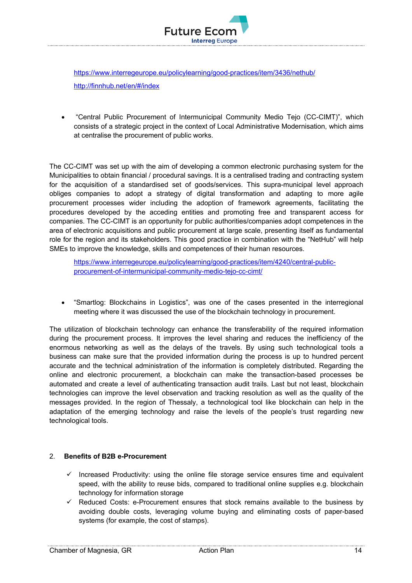

https://www.interregeurope.eu/policylearning/good-practices/item/3436/nethub/ http://finnhub.net/en/#/index

• "Central Public Procurement of Intermunicipal Community Medio Tejo (CC-CIMT)", which consists of a strategic project in the context of Local Administrative Modernisation, which aims at centralise the procurement of public works.

The CC-CIMT was set up with the aim of developing a common electronic purchasing system for the Municipalities to obtain financial / procedural savings. It is a centralised trading and contracting system for the acquisition of a standardised set of goods/services. This supra-municipal level approach obliges companies to adopt a strategy of digital transformation and adapting to more agile procurement processes wider including the adoption of framework agreements, facilitating the procedures developed by the acceding entities and promoting free and transparent access for companies. The CC-CIMT is an opportunity for public authorities/companies adopt competences in the area of electronic acquisitions and public procurement at large scale, presenting itself as fundamental role for the region and its stakeholders. This good practice in combination with the "NetHub" will help SMEs to improve the knowledge, skills and competences of their human resources.

https://www.interregeurope.eu/policylearning/good-practices/item/4240/central-publicprocurement-of-intermunicipal-community-medio-tejo-cc-cimt/

• "Smartlog: Blockchains in Logistics", was one of the cases presented in the interregional meeting where it was discussed the use of the blockchain technology in procurement.

The utilization of blockchain technology can enhance the transferability of the required information during the procurement process. It improves the level sharing and reduces the inefficiency of the enormous networking as well as the delays of the travels. By using such technological tools a business can make sure that the provided information during the process is up to hundred percent accurate and the technical administration of the information is completely distributed. Regarding the online and electronic procurement, a blockchain can make the transaction-based processes be automated and create a level of authenticating transaction audit trails. Last but not least, blockchain technologies can improve the level observation and tracking resolution as well as the quality of the messages provided. In the region of Thessaly, a technological tool like blockchain can help in the adaptation of the emerging technology and raise the levels of the people's trust regarding new technological tools.

## 2. **Benefits of B2B e-Procurement**

- $\checkmark$  Increased Productivity: using the online file storage service ensures time and equivalent speed, with the ability to reuse bids, compared to traditional online supplies e.g. blockchain technology for information storage
- $\checkmark$  Reduced Costs: e-Procurement ensures that stock remains available to the business by avoiding double costs, leveraging volume buying and eliminating costs of paper-based systems (for example, the cost of stamps).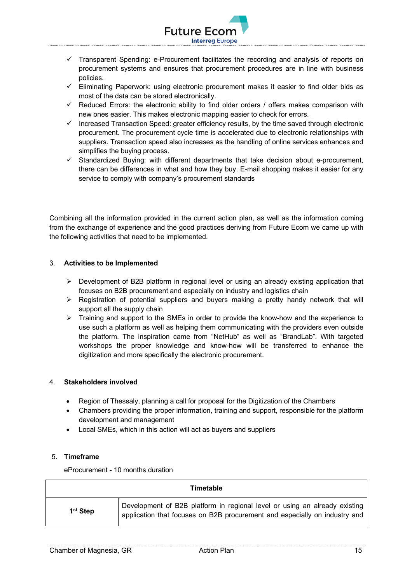

- $\checkmark$  Transparent Spending: e-Procurement facilitates the recording and analysis of reports on procurement systems and ensures that procurement procedures are in line with business policies.
- $\checkmark$  Eliminating Paperwork: using electronic procurement makes it easier to find older bids as most of the data can be stored electronically.
- $\checkmark$  Reduced Errors: the electronic ability to find older orders / offers makes comparison with new ones easier. This makes electronic mapping easier to check for errors.
- $\checkmark$  Increased Transaction Speed: greater efficiency results, by the time saved through electronic procurement. The procurement cycle time is accelerated due to electronic relationships with suppliers. Transaction speed also increases as the handling of online services enhances and simplifies the buying process.
- $\checkmark$  Standardized Buying: with different departments that take decision about e-procurement, there can be differences in what and how they buy. E-mail shopping makes it easier for any service to comply with company's procurement standards

Combining all the information provided in the current action plan, as well as the information coming from the exchange of experience and the good practices deriving from Future Ecom we came up with the following activities that need to be implemented.

## 3. **Activities to be Implemented**

- $\triangleright$  Development of B2B platform in regional level or using an already existing application that focuses on B2B procurement and especially on industry and logistics chain
- $\triangleright$  Registration of potential suppliers and buyers making a pretty handy network that will support all the supply chain
- $\triangleright$  Training and support to the SMEs in order to provide the know-how and the experience to use such a platform as well as helping them communicating with the providers even outside the platform. The inspiration came from "NetHub" as well as "BrandLab". With targeted workshops the proper knowledge and know-how will be transferred to enhance the digitization and more specifically the electronic procurement.

## 4. **Stakeholders involved**

- Region of Thessaly, planning a call for proposal for the Digitization of the Chambers
- Chambers providing the proper information, training and support, responsible for the platform development and management
- Local SMEs, which in this action will act as buyers and suppliers

## 5. **Timeframe**

eProcurement - 10 months duration

|                      | <b>Timetable</b>                                                                                                                                         |
|----------------------|----------------------------------------------------------------------------------------------------------------------------------------------------------|
| 1 <sup>st</sup> Step | Development of B2B platform in regional level or using an already existing<br>application that focuses on B2B procurement and especially on industry and |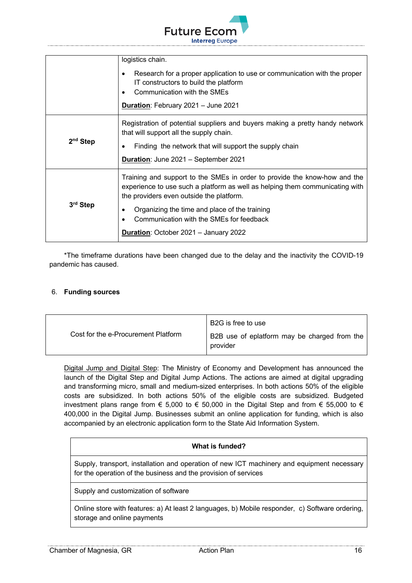

|            | logistics chain.<br>Research for a proper application to use or communication with the proper<br>IT constructors to build the platform<br>Communication with the SMEs<br>Duration: February 2021 - June 2021                                                                                                                                |
|------------|---------------------------------------------------------------------------------------------------------------------------------------------------------------------------------------------------------------------------------------------------------------------------------------------------------------------------------------------|
| $2nd$ Step | Registration of potential suppliers and buyers making a pretty handy network<br>that will support all the supply chain.<br>Finding the network that will support the supply chain<br>Duration: June 2021 - September 2021                                                                                                                   |
| 3rd Step   | Training and support to the SMEs in order to provide the know-how and the<br>experience to use such a platform as well as helping them communicating with<br>the providers even outside the platform.<br>Organizing the time and place of the training<br>Communication with the SMEs for feedback<br>Duration: October 2021 - January 2022 |

\*The timeframe durations have been changed due to the delay and the inactivity the COVID-19 pandemic has caused.

## 6. **Funding sources**

|                                     | B2G is free to use                                       |
|-------------------------------------|----------------------------------------------------------|
| Cost for the e-Procurement Platform | B2B use of eplatform may be charged from the<br>provider |

Digital Jump and Digital Step: The Ministry of Economy and Development has announced the launch of the Digital Step and Digital Jump Actions. The actions are aimed at digital upgrading and transforming micro, small and medium-sized enterprises. In both actions 50% of the eligible costs are subsidized. In both actions 50% of the eligible costs are subsidized. Budgeted investment plans range from € 5,000 to € 50,000 in the Digital Step and from € 55,000 to € 400,000 in the Digital Jump. Businesses submit an online application for funding, which is also accompanied by an electronic application form to the State Aid Information System.

## **What is funded?**

Supply, transport, installation and operation of new ICT machinery and equipment necessary for the operation of the business and the provision of services

Supply and customization of software

Online store with features: a) At least 2 languages, b) Mobile responder, c) Software ordering, storage and online payments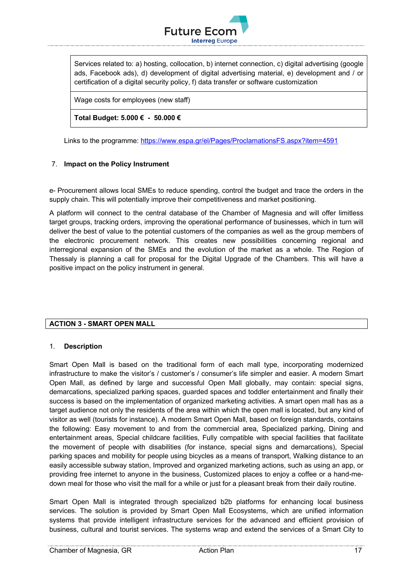

Services related to: a) hosting, collocation, b) internet connection, c) digital advertising (google ads, Facebook ads), d) development of digital advertising material, e) development and / or certification of a digital security policy, f) data transfer or software customization

Wage costs for employees (new staff)

**Total Budget: 5.000 € - 50.000 €**

Links to the programme: https://www.espa.gr/el/Pages/ProclamationsFS.aspx?item=4591

## 7. **Impact on the Policy Instrument**

e- Procurement allows local SMEs to reduce spending, control the budget and trace the orders in the supply chain. This will potentially improve their competitiveness and market positioning.

A platform will connect to the central database of the Chamber of Magnesia and will offer limitless target groups, tracking orders, improving the operational performance of businesses, which in turn will deliver the best of value to the potential customers of the companies as well as the group members of the electronic procurement network. This creates new possibilities concerning regional and interregional expansion of the SMEs and the evolution of the market as a whole. The Region of Thessaly is planning a call for proposal for the Digital Upgrade of the Chambers. This will have a positive impact on the policy instrument in general.

## **ACTION 3 - SMART OPEN MALL**

## 1. **Description**

Smart Open Mall is based on the traditional form of each mall type, incorporating modernized infrastructure to make the visitor's / customer's / consumer's life simpler and easier. A modern Smart Open Mall, as defined by large and successful Open Mall globally, may contain: special signs, demarcations, specialized parking spaces, guarded spaces and toddler entertainment and finally their success is based on the implementation of organized marketing activities. A smart open mall has as a target audience not only the residents of the area within which the open mall is located, but any kind of visitor as well (tourists for instance). A modern Smart Open Mall, based on foreign standards, contains the following: Easy movement to and from the commercial area, Specialized parking, Dining and entertainment areas, Special childcare facilities, Fully compatible with special facilities that facilitate the movement of people with disabilities (for instance, special signs and demarcations), Special parking spaces and mobility for people using bicycles as a means of transport, Walking distance to an easily accessible subway station, Improved and organized marketing actions, such as using an app, or providing free internet to anyone in the business, Customized places to enjoy a coffee or a hand-medown meal for those who visit the mall for a while or just for a pleasant break from their daily routine.

Smart Open Mall is integrated through specialized b2b platforms for enhancing local business services. The solution is provided by Smart Open Mall Ecosystems, which are unified information systems that provide intelligent infrastructure services for the advanced and efficient provision of business, cultural and tourist services. The systems wrap and extend the services of a Smart City to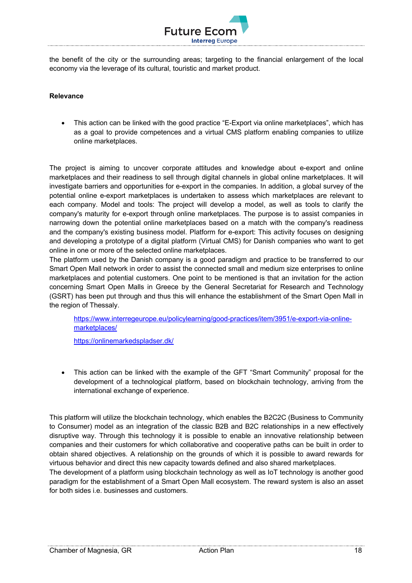

the benefit of the city or the surrounding areas; targeting to the financial enlargement of the local economy via the leverage of its cultural, touristic and market product.

## **Relevance**

• This action can be linked with the good practice "E-Export via online marketplaces", which has as a goal to provide competences and a virtual CMS platform enabling companies to utilize online marketplaces.

The project is aiming to uncover corporate attitudes and knowledge about e-export and online marketplaces and their readiness to sell through digital channels in global online marketplaces. It will investigate barriers and opportunities for e-export in the companies. In addition, a global survey of the potential online e-export marketplaces is undertaken to assess which marketplaces are relevant to each company. Model and tools: The project will develop a model, as well as tools to clarify the company's maturity for e-export through online marketplaces. The purpose is to assist companies in narrowing down the potential online marketplaces based on a match with the company's readiness and the company's existing business model. Platform for e-export: This activity focuses on designing and developing a prototype of a digital platform (Virtual CMS) for Danish companies who want to get online in one or more of the selected online marketplaces.

The platform used by the Danish company is a good paradigm and practice to be transferred to our Smart Open Mall network in order to assist the connected small and medium size enterprises to online marketplaces and potential customers. One point to be mentioned is that an invitation for the action concerning Smart Open Malls in Greece by the General Secretariat for Research and Technology (GSRT) has been put through and thus this will enhance the establishment of the Smart Open Mall in the region of Thessaly.

https://www.interregeurope.eu/policylearning/good-practices/item/3951/e-export-via-onlinemarketplaces/

https://onlinemarkedspladser.dk/

• This action can be linked with the example of the GFT "Smart Community" proposal for the development of a technological platform, based on blockchain technology, arriving from the international exchange of experience.

This platform will utilize the blockchain technology, which enables the B2C2C (Business to Community to Consumer) model as an integration of the classic B2B and B2C relationships in a new effectively disruptive way. Through this technology it is possible to enable an innovative relationship between companies and their customers for which collaborative and cooperative paths can be built in order to obtain shared objectives. A relationship on the grounds of which it is possible to award rewards for virtuous behavior and direct this new capacity towards defined and also shared marketplaces.

The development of a platform using blockchain technology as well as IoT technology is another good paradigm for the establishment of a Smart Open Mall ecosystem. The reward system is also an asset for both sides i.e. businesses and customers.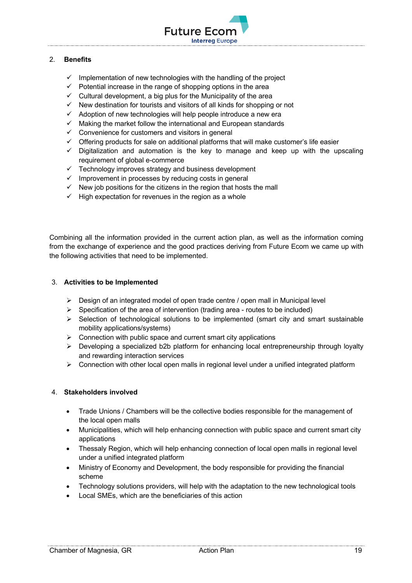

## 2. **Benefits**

- $\checkmark$  Implementation of new technologies with the handling of the project
- $\checkmark$  Potential increase in the range of shopping options in the area
- $\checkmark$  Cultural development, a big plus for the Municipality of the area
- $\checkmark$  New destination for tourists and visitors of all kinds for shopping or not
- $\checkmark$  Adoption of new technologies will help people introduce a new era
- $\checkmark$  Making the market follow the international and European standards
- $\checkmark$  Convenience for customers and visitors in general
- $\checkmark$  Offering products for sale on additional platforms that will make customer's life easier
- $\checkmark$  Digitalization and automation is the key to manage and keep up with the upscaling requirement of global e-commerce
- $\checkmark$  Technology improves strategy and business development
- $\checkmark$  Improvement in processes by reducing costs in general
- $\checkmark$  New job positions for the citizens in the region that hosts the mall
- $\checkmark$  High expectation for revenues in the region as a whole

Combining all the information provided in the current action plan, as well as the information coming from the exchange of experience and the good practices deriving from Future Ecom we came up with the following activities that need to be implemented.

## 3. **Activities to be Implemented**

- $\triangleright$  Design of an integrated model of open trade centre / open mall in Municipal level
- $\triangleright$  Specification of the area of intervention (trading area routes to be included)
- $\triangleright$  Selection of technological solutions to be implemented (smart city and smart sustainable mobility applications/systems)
- $\triangleright$  Connection with public space and current smart city applications
- $\triangleright$  Developing a specialized b2b platform for enhancing local entrepreneurship through loyalty and rewarding interaction services
- $\triangleright$  Connection with other local open malls in regional level under a unified integrated platform

## 4. **Stakeholders involved**

- Trade Unions / Chambers will be the collective bodies responsible for the management of the local open malls
- Municipalities, which will help enhancing connection with public space and current smart city applications
- Thessaly Region, which will help enhancing connection of local open malls in regional level under a unified integrated platform
- Ministry of Economy and Development, the body responsible for providing the financial scheme
- Technology solutions providers, will help with the adaptation to the new technological tools
- Local SMEs, which are the beneficiaries of this action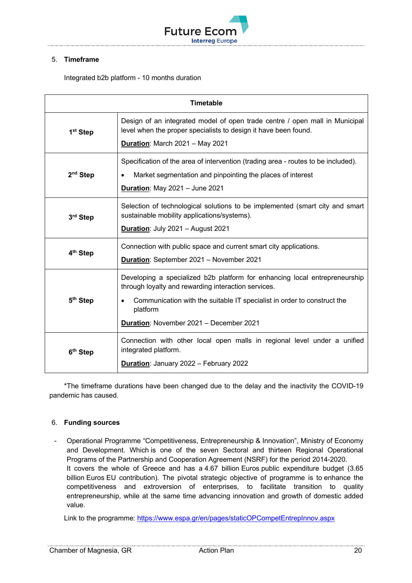

## 5. **Timeframe**

Integrated b2b platform - 10 months duration

| <b>Timetable</b>     |                                                                                                                                                |
|----------------------|------------------------------------------------------------------------------------------------------------------------------------------------|
| 1 <sup>st</sup> Step | Design of an integrated model of open trade centre / open mall in Municipal<br>level when the proper specialists to design it have been found. |
|                      | Duration: March 2021 - May 2021                                                                                                                |
|                      | Specification of the area of intervention (trading area - routes to be included).                                                              |
| $2nd$ Step           | Market segmentation and pinpointing the places of interest<br>Duration: May 2021 - June 2021                                                   |
|                      |                                                                                                                                                |
| 3rd Step             | Selection of technological solutions to be implemented (smart city and smart<br>sustainable mobility applications/systems).                    |
|                      | Duration: July 2021 - August 2021                                                                                                              |
| 4 <sup>th</sup> Step | Connection with public space and current smart city applications.                                                                              |
|                      | Duration: September 2021 - November 2021                                                                                                       |
|                      | Developing a specialized b2b platform for enhancing local entrepreneurship<br>through loyalty and rewarding interaction services.              |
| 5 <sup>th</sup> Step | Communication with the suitable IT specialist in order to construct the<br>platform                                                            |
|                      | Duration: November 2021 - December 2021                                                                                                        |
| 6 <sup>th</sup> Step | Connection with other local open malls in regional level under a unified<br>integrated platform.                                               |
|                      | Duration: January 2022 - February 2022                                                                                                         |

\*The timeframe durations have been changed due to the delay and the inactivity the COVID-19 pandemic has caused.

## 6. **Funding sources**

- Operational Programme "Competitiveness, Entrepreneurship & Innovation", Ministry of Economy and Development. Which is one of the seven Sectoral and thirteen Regional Operational Programs of the Partnership and Cooperation Agreement (NSRF) for the period 2014-2020. It covers the whole of Greece and has a 4.67 billion Euros public expenditure budget (3.65 billion Euros EU contribution). The pivotal strategic objective of programme is to enhance the competitiveness and extroversion of enterprises, to facilitate transition to quality entrepreneurship, while at the same time advancing innovation and growth of domestic added value.

Link to the programme: https://www.espa.gr/en/pages/staticOPCompetEntrepInnov.aspx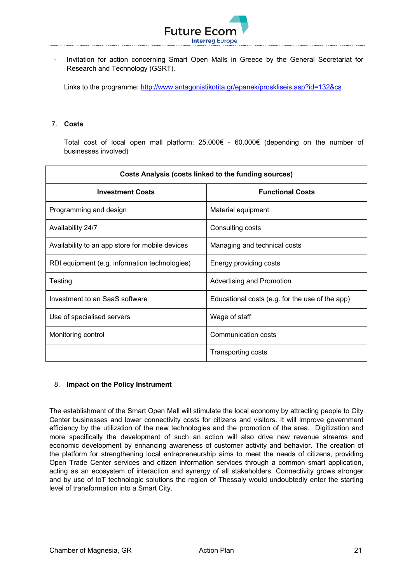

- Invitation for action concerning Smart Open Malls in Greece by the General Secretariat for Research and Technology (GSRT).

Links to the programme: http://www.antagonistikotita.gr/epanek/proskliseis.asp?id=132&cs

## 7. **Costs**

Total cost of local open mall platform: 25.000€ - 60.000€ (depending on the number of businesses involved)

| Costs Analysis (costs linked to the funding sources) |                                                 |  |
|------------------------------------------------------|-------------------------------------------------|--|
| <b>Investment Costs</b>                              | <b>Functional Costs</b>                         |  |
| Programming and design                               | Material equipment                              |  |
| Availability 24/7                                    | Consulting costs                                |  |
| Availability to an app store for mobile devices      | Managing and technical costs                    |  |
| RDI equipment (e.g. information technologies)        | Energy providing costs                          |  |
| Testing                                              | Advertising and Promotion                       |  |
| Investment to an SaaS software                       | Educational costs (e.g. for the use of the app) |  |
| Use of specialised servers                           | Wage of staff                                   |  |
| Monitoring control                                   | Communication costs                             |  |
|                                                      | Transporting costs                              |  |

#### 8. **Impact on the Policy Instrument**

The establishment of the Smart Open Mall will stimulate the local economy by attracting people to City Center businesses and lower connectivity costs for citizens and visitors. It will improve government efficiency by the utilization of the new technologies and the promotion of the area. Digitization and more specifically the development of such an action will also drive new revenue streams and economic development by enhancing awareness of customer activity and behavior. The creation of the platform for strengthening local entrepreneurship aims to meet the needs of citizens, providing Open Trade Center services and citizen information services through a common smart application, acting as an ecosystem of interaction and synergy of all stakeholders. Connectivity grows stronger and by use of IoT technologic solutions the region of Thessaly would undoubtedly enter the starting level of transformation into a Smart City.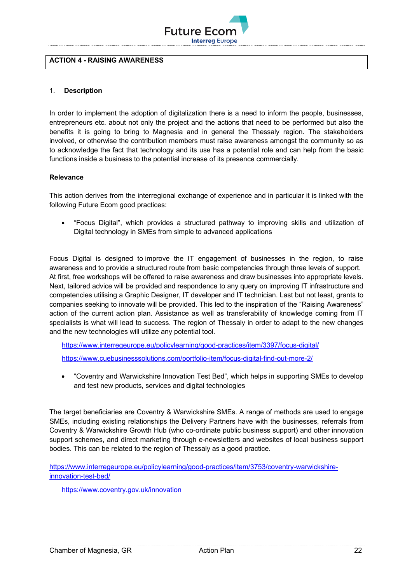

#### **ACTION 4 - RΑISING AWARENESS**

## 1. **Description**

In order to implement the adoption of digitalization there is a need to inform the people, businesses, entrepreneurs etc. about not only the project and the actions that need to be performed but also the benefits it is going to bring to Magnesia and in general the Thessaly region. The stakeholders involved, or otherwise the contribution members must raise awareness amongst the community so as to acknowledge the fact that technology and its use has a potential role and can help from the basic functions inside a business to the potential increase of its presence commercially.

#### **Relevance**

This action derives from the interregional exchange of experience and in particular it is linked with the following Future Ecom good practices:

• "Focus Digital", which provides a structured pathway to improving skills and utilization of Digital technology in SMEs from simple to advanced applications

Focus Digital is designed to improve the IT engagement of businesses in the region, to raise awareness and to provide a structured route from basic competencies through three levels of support. At first, free workshops will be offered to raise awareness and draw businesses into appropriate levels. Next, tailored advice will be provided and respondence to any query on improving IT infrastructure and competencies utilising a Graphic Designer, IT developer and IT technician. Last but not least, grants to companies seeking to innovate will be provided. This led to the inspiration of the "Raising Awareness" action of the current action plan. Assistance as well as transferability of knowledge coming from IT specialists is what will lead to success. The region of Thessaly in order to adapt to the new changes and the new technologies will utilize any potential tool.

https://www.interregeurope.eu/policylearning/good-practices/item/3397/focus-digital/

https://www.cuebusinesssolutions.com/portfolio-item/focus-digital-find-out-more-2/

• "Coventry and Warwickshire Innovation Test Bed", which helps in supporting SMEs to develop and test new products, services and digital technologies

The target beneficiaries are Coventry & Warwickshire SMEs. A range of methods are used to engage SMEs, including existing relationships the Delivery Partners have with the businesses, referrals from Coventry & Warwickshire Growth Hub (who co-ordinate public business support) and other innovation support schemes, and direct marketing through e-newsletters and websites of local business support bodies. This can be related to the region of Thessaly as a good practice.

https://www.interregeurope.eu/policylearning/good-practices/item/3753/coventry-warwickshireinnovation-test-bed/

https://www.coventry.gov.uk/innovation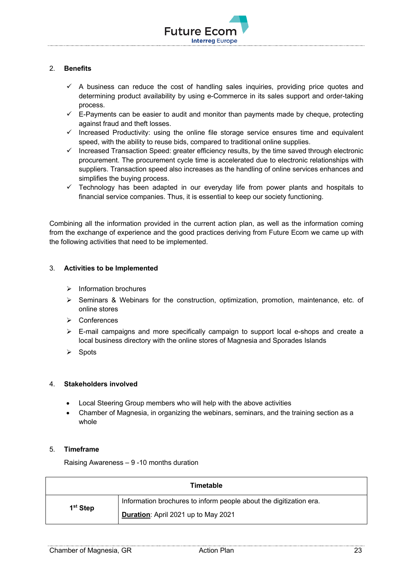

## 2. **Benefits**

- $\checkmark$  A business can reduce the cost of handling sales inquiries, providing price quotes and determining product availability by using e-Commerce in its sales support and order-taking process.
- $\checkmark$  E-Payments can be easier to audit and monitor than payments made by cheque, protecting against fraud and theft losses.
- $\checkmark$  Increased Productivity: using the online file storage service ensures time and equivalent speed, with the ability to reuse bids, compared to traditional online supplies.
- $\checkmark$  Increased Transaction Speed: greater efficiency results, by the time saved through electronic procurement. The procurement cycle time is accelerated due to electronic relationships with suppliers. Transaction speed also increases as the handling of online services enhances and simplifies the buying process.
- $\checkmark$  Technology has been adapted in our everyday life from power plants and hospitals to financial service companies. Thus, it is essential to keep our society functioning.

Combining all the information provided in the current action plan, as well as the information coming from the exchange of experience and the good practices deriving from Future Ecom we came up with the following activities that need to be implemented.

## 3. **Activities to be Implemented**

- $\triangleright$  Information brochures
- $\triangleright$  Seminars & Webinars for the construction, optimization, promotion, maintenance, etc. of online stores
- Ø Conferences
- $\triangleright$  E-mail campaigns and more specifically campaign to support local e-shops and create a local business directory with the online stores of Magnesia and Sporades Islands
- $\triangleright$  Spots

## 4. **Stakeholders involved**

- Local Steering Group members who will help with the above activities
- Chamber of Magnesia, in organizing the webinars, seminars, and the training section as a whole

#### 5. **Timeframe**

Raising Awareness – 9 -10 months duration

| Timetable            |                                                                    |  |
|----------------------|--------------------------------------------------------------------|--|
| 1 <sup>st</sup> Step | Information brochures to inform people about the digitization era. |  |
|                      | Duration: April 2021 up to May 2021                                |  |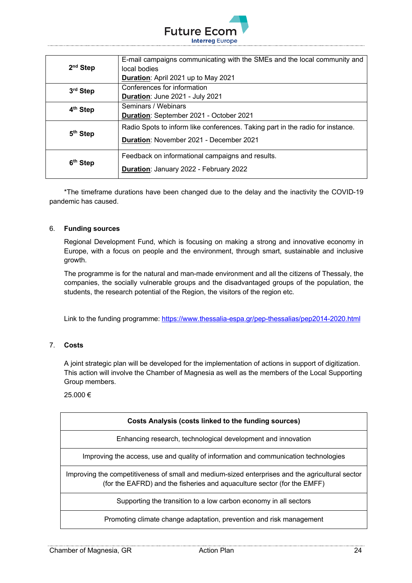

|                      | E-mail campaigns communicating with the SMEs and the local community and       |  |
|----------------------|--------------------------------------------------------------------------------|--|
| $2nd$ Step           | local bodies                                                                   |  |
|                      | Duration: April 2021 up to May 2021                                            |  |
| 3 <sup>rd</sup> Step | Conferences for information                                                    |  |
|                      | Duration: June 2021 - July 2021                                                |  |
| 4 <sup>th</sup> Step | Seminars / Webinars                                                            |  |
|                      | Duration: September 2021 - October 2021                                        |  |
|                      | Radio Spots to inform like conferences. Taking part in the radio for instance. |  |
| 5 <sup>th</sup> Step | <b>Duration: November 2021 - December 2021</b>                                 |  |
|                      | Feedback on informational campaigns and results.                               |  |
| 6 <sup>th</sup> Step | Duration: January 2022 - February 2022                                         |  |

\*The timeframe durations have been changed due to the delay and the inactivity the COVID-19 pandemic has caused.

## 6. **Funding sources**

Regional Development Fund, which is focusing on making a strong and innovative economy in Europe, with a focus on people and the environment, through smart, sustainable and inclusive growth.

The programme is for the natural and man-made environment and all the citizens of Thessaly, the companies, the socially vulnerable groups and the disadvantaged groups of the population, the students, the research potential of the Region, the visitors of the region etc.

Link to the funding programme: https://www.thessalia-espa.gr/pep-thessalias/pep2014-2020.html

## 7. **Costs**

A joint strategic plan will be developed for the implementation of actions in support of digitization. This action will involve the Chamber of Magnesia as well as the members of the Local Supporting Group members.

25.000 €

| Costs Analysis (costs linked to the funding sources)                                                                                                                       |
|----------------------------------------------------------------------------------------------------------------------------------------------------------------------------|
| Enhancing research, technological development and innovation                                                                                                               |
| Improving the access, use and quality of information and communication technologies                                                                                        |
| Improving the competitiveness of small and medium-sized enterprises and the agricultural sector<br>(for the EAFRD) and the fisheries and aquaculture sector (for the EMFF) |
| Supporting the transition to a low carbon economy in all sectors                                                                                                           |
| Promoting climate change adaptation, prevention and risk management                                                                                                        |